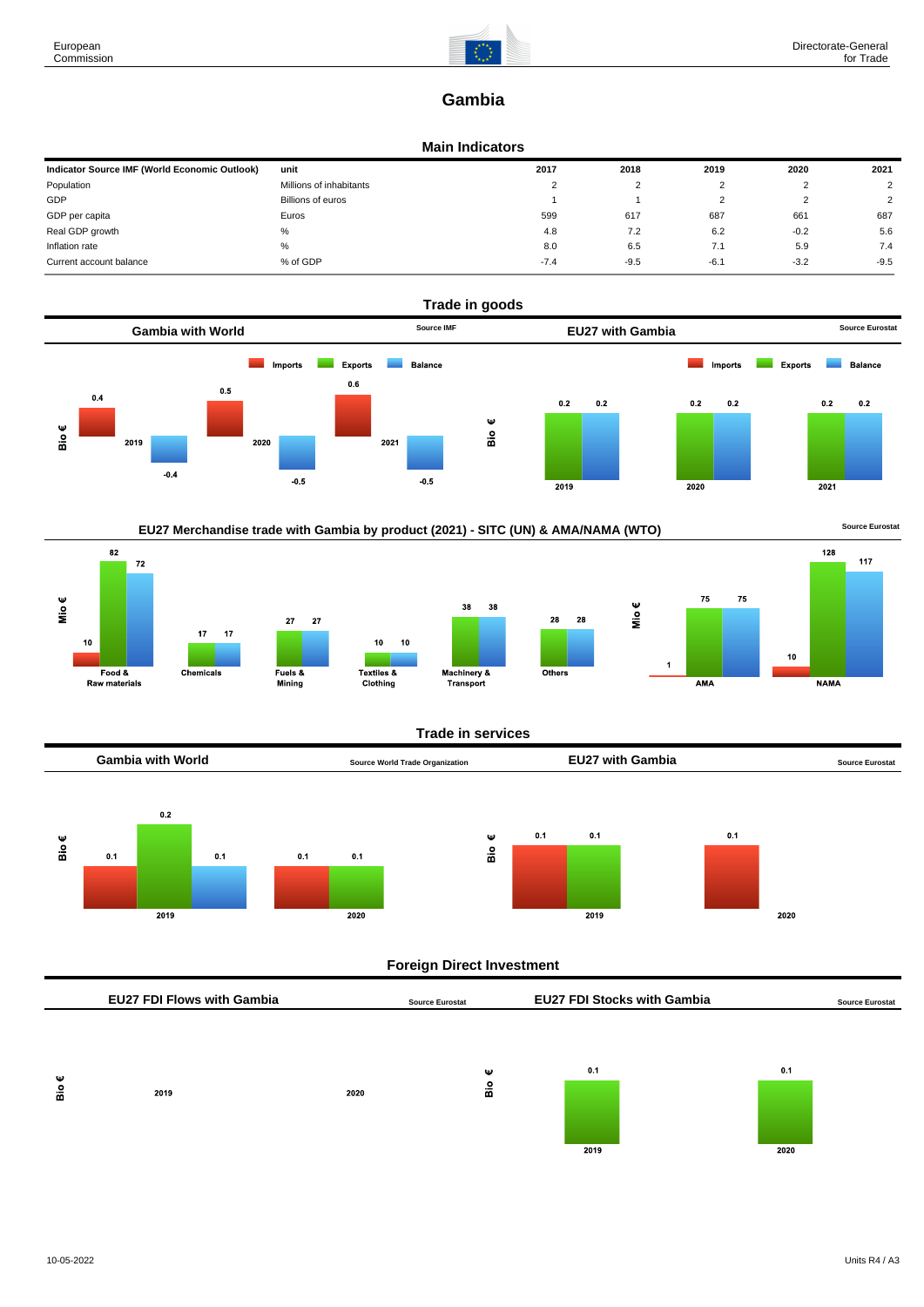

# **Gambia**

### **Main Indicators**

| Indicator Source IMF (World Economic Outlook) | unit                    | 2017     | 2018   | 2019   | 2020   | 2021   |
|-----------------------------------------------|-------------------------|----------|--------|--------|--------|--------|
| Population                                    | Millions of inhabitants | <u>.</u> | າ      |        |        |        |
| GDP                                           | Billions of euros       |          |        |        | ı      | C      |
| GDP per capita                                | Euros                   | 599      | 617    | 687    | 661    | 687    |
| Real GDP growth                               | %                       | 4.8      | 7.2    | 6.2    | $-0.2$ | 5.6    |
| Inflation rate                                | %                       | 8.0      | 6.5    | 7.1    | 5.9    | 7.4    |
| Current account balance                       | % of GDP                | $-7.4$   | $-9.5$ | $-6.1$ | $-3.2$ | $-9.5$ |





## **Trade in services**



# **Foreign Direct Investment**

|          | <b>EU27 FDI Flows with Gambia</b> |      | <b>Source Eurostat</b> | <b>EU27 FDI Stocks with Gambia</b> |      | <b>Source Eurostat</b> |
|----------|-----------------------------------|------|------------------------|------------------------------------|------|------------------------|
| Ψ<br>Bio | 2019                              | 2020 | Ψ<br>$rac{6}{10}$      | 0.1                                | 0.1  |                        |
|          |                                   |      |                        | 2019                               | 2020 |                        |